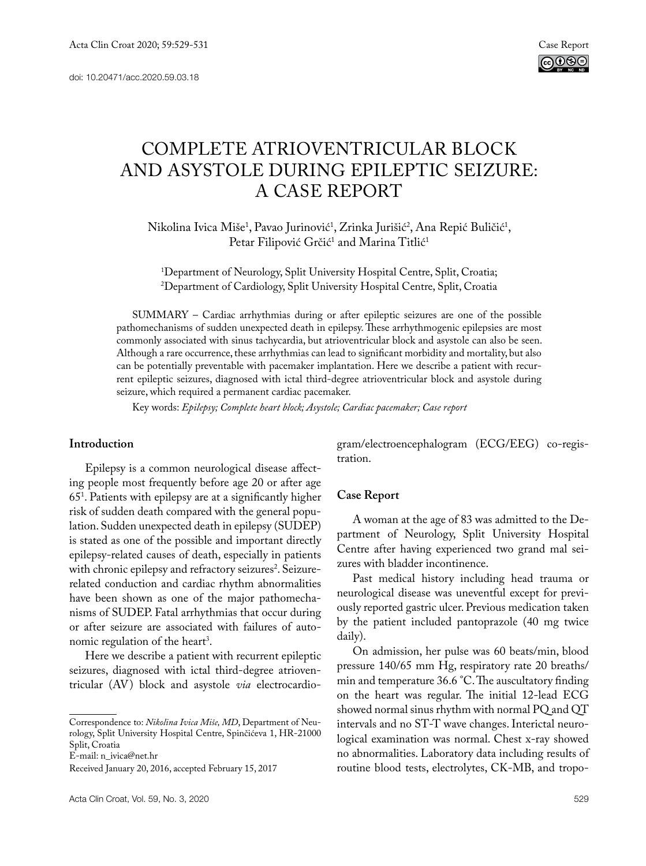

# COMPLETE ATRIOVENTRICULAR BLOCK AND ASYSTOLE DURING EPILEPTIC SEIZURE: A CASE REPORT

Nikolina Ivica Miše<sup>1</sup>, Pavao Jurinović<sup>1</sup>, Zrinka Jurišić<sup>2</sup>, Ana Repić Buličić<sup>1</sup>, Petar Filipović Grčić<sup>1</sup> and Marina Titlić<sup>1</sup>

1 Department of Neurology, Split University Hospital Centre, Split, Croatia; 2 Department of Cardiology, Split University Hospital Centre, Split, Croatia

SUMMARY – Cardiac arrhythmias during or after epileptic seizures are one of the possible pathomechanisms of sudden unexpected death in epilepsy. These arrhythmogenic epilepsies are most commonly associated with sinus tachycardia, but atrioventricular block and asystole can also be seen. Although a rare occurrence, these arrhythmias can lead to significant morbidity and mortality, but also can be potentially preventable with pacemaker implantation. Here we describe a patient with recurrent epileptic seizures, diagnosed with ictal third-degree atrioventricular block and asystole during seizure, which required a permanent cardiac pacemaker.

Key words: *Epilepsy; Complete heart block; Asystole; Cardiac pacemaker; Case report*

## **Introduction**

Epilepsy is a common neurological disease affecting people most frequently before age 20 or after age 651 . Patients with epilepsy are at a significantly higher risk of sudden death compared with the general population. Sudden unexpected death in epilepsy (SUDEP) is stated as one of the possible and important directly epilepsy-related causes of death, especially in patients with chronic epilepsy and refractory seizures<sup>2</sup>. Seizurerelated conduction and cardiac rhythm abnormalities have been shown as one of the major pathomechanisms of SUDEP. Fatal arrhythmias that occur during or after seizure are associated with failures of autonomic regulation of the heart<sup>3</sup>.

Here we describe a patient with recurrent epileptic seizures, diagnosed with ictal third-degree atrioventricular (AV) block and asystole *via* electrocardio-

E-mail: n\_ivica@net.hr

gram/electroencephalogram (ECG/EEG) co-registration.

#### **Case Report**

A woman at the age of 83 was admitted to the Department of Neurology, Split University Hospital Centre after having experienced two grand mal seizures with bladder incontinence.

Past medical history including head trauma or neurological disease was uneventful except for previously reported gastric ulcer. Previous medication taken by the patient included pantoprazole (40 mg twice daily).

On admission, her pulse was 60 beats/min, blood pressure 140/65 mm Hg, respiratory rate 20 breaths/ min and temperature 36.6 °C. The auscultatory finding on the heart was regular. The initial 12-lead ECG showed normal sinus rhythm with normal PQ and QT intervals and no ST-T wave changes. Interictal neurological examination was normal. Chest x-ray showed no abnormalities. Laboratory data including results of routine blood tests, electrolytes, CK-MB, and tropo-

Correspondence to: *Nikolina Ivica Miše, MD*, Department of Neurology, Split University Hospital Centre, Spinčićeva 1, HR-21000 Split, Croatia

Received January 20, 2016, accepted February 15, 2017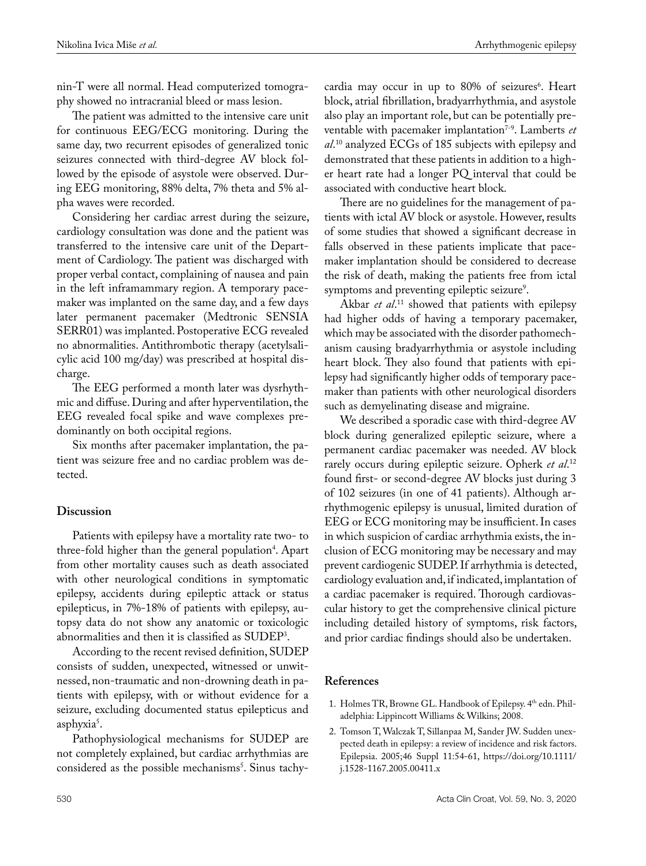nin-T were all normal. Head computerized tomography showed no intracranial bleed or mass lesion.

The patient was admitted to the intensive care unit for continuous EEG/ECG monitoring. During the same day, two recurrent episodes of generalized tonic seizures connected with third-degree AV block followed by the episode of asystole were observed. During EEG monitoring, 88% delta, 7% theta and 5% alpha waves were recorded.

Considering her cardiac arrest during the seizure, cardiology consultation was done and the patient was transferred to the intensive care unit of the Department of Cardiology. The patient was discharged with proper verbal contact, complaining of nausea and pain in the left inframammary region. A temporary pacemaker was implanted on the same day, and a few days later permanent pacemaker (Medtronic SENSIA SERR01) was implanted. Postoperative ECG revealed no abnormalities. Antithrombotic therapy (acetylsalicylic acid 100 mg/day) was prescribed at hospital discharge.

The EEG performed a month later was dysrhythmic and diffuse. During and after hyperventilation, the EEG revealed focal spike and wave complexes predominantly on both occipital regions.

Six months after pacemaker implantation, the patient was seizure free and no cardiac problem was detected.

## **Discussion**

Patients with epilepsy have a mortality rate two- to three-fold higher than the general population<sup>4</sup>. Apart from other mortality causes such as death associated with other neurological conditions in symptomatic epilepsy, accidents during epileptic attack or status epilepticus, in 7%-18% of patients with epilepsy, autopsy data do not show any anatomic or toxicologic abnormalities and then it is classified as SUDEP3 .

According to the recent revised definition, SUDEP consists of sudden, unexpected, witnessed or unwitnessed, non-traumatic and non-drowning death in patients with epilepsy, with or without evidence for a seizure, excluding documented status epilepticus and asphyxia<sup>5</sup>.

Pathophysiological mechanisms for SUDEP are not completely explained, but cardiac arrhythmias are considered as the possible mechanisms<sup>5</sup>. Sinus tachycardia may occur in up to 80% of seizures<sup>6</sup>. Heart block, atrial fibrillation, bradyarrhythmia, and asystole also play an important role, but can be potentially preventable with pacemaker implantation<sup>7-9</sup>. Lamberts *et al*. 10 analyzed ECGs of 185 subjects with epilepsy and demonstrated that these patients in addition to a higher heart rate had a longer PQ interval that could be associated with conductive heart block.

There are no guidelines for the management of patients with ictal AV block or asystole. However, results of some studies that showed a significant decrease in falls observed in these patients implicate that pacemaker implantation should be considered to decrease the risk of death, making the patients free from ictal symptoms and preventing epileptic seizure<sup>9</sup>.

Akbar *et al*. 11 showed that patients with epilepsy had higher odds of having a temporary pacemaker, which may be associated with the disorder pathomechanism causing bradyarrhythmia or asystole including heart block. They also found that patients with epilepsy had significantly higher odds of temporary pacemaker than patients with other neurological disorders such as demyelinating disease and migraine.

We described a sporadic case with third-degree AV block during generalized epileptic seizure, where a permanent cardiac pacemaker was needed. AV block rarely occurs during epileptic seizure. Opherk *et al*. 12 found first- or second-degree AV blocks just during 3 of 102 seizures (in one of 41 patients). Although arrhythmogenic epilepsy is unusual, limited duration of EEG or ECG monitoring may be insufficient. In cases in which suspicion of cardiac arrhythmia exists, the inclusion of ECG monitoring may be necessary and may prevent cardiogenic SUDEP. If arrhythmia is detected, cardiology evaluation and, if indicated, implantation of a cardiac pacemaker is required. Thorough cardiovascular history to get the comprehensive clinical picture including detailed history of symptoms, risk factors, and prior cardiac findings should also be undertaken.

# **References**

- 1. Holmes TR, Browne GL. Handbook of Epilepsy. 4th edn. Philadelphia: Lippincott Williams & Wilkins; 2008.
- 2. Tomson T, Walczak T, Sillanpaa M, Sander JW. Sudden unexpected death in epilepsy: a review of incidence and risk factors. Epilepsia. 2005;46 Suppl 11:54-61, https://doi.org/10.1111/ j.1528-1167.2005.00411.x